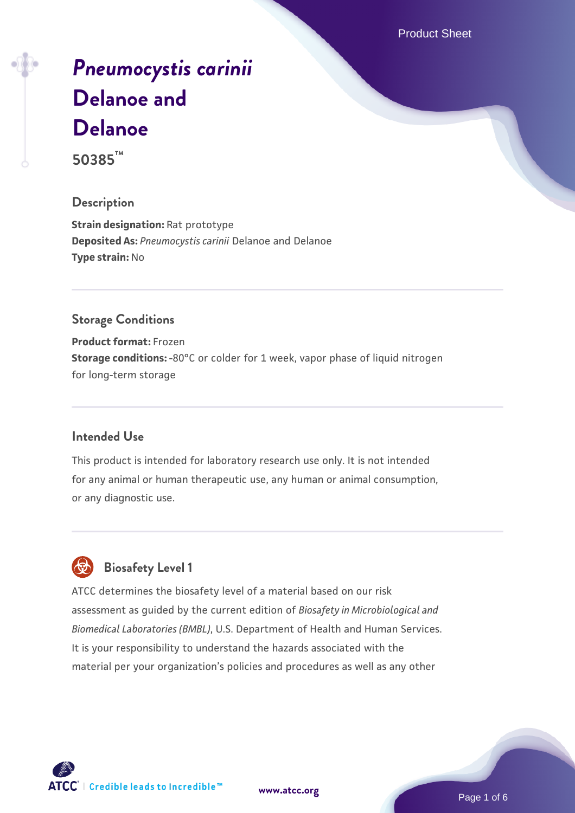Product Sheet

# *[Pneumocystis carinii](https://www.atcc.org/products/50385)* **[Delanoe and](https://www.atcc.org/products/50385) [Delanoe](https://www.atcc.org/products/50385)**

**50385™**

#### **Description**

**Strain designation: Rat prototype Deposited As:** *Pneumocystis carinii* Delanoe and Delanoe **Type strain:** No

## **Storage Conditions**

**Product format:** Frozen **Storage conditions:** -80°C or colder for 1 week, vapor phase of liquid nitrogen for long-term storage

#### **Intended Use**

This product is intended for laboratory research use only. It is not intended for any animal or human therapeutic use, any human or animal consumption, or any diagnostic use.



# **Biosafety Level 1**

ATCC determines the biosafety level of a material based on our risk assessment as guided by the current edition of *Biosafety in Microbiological and Biomedical Laboratories (BMBL)*, U.S. Department of Health and Human Services. It is your responsibility to understand the hazards associated with the material per your organization's policies and procedures as well as any other

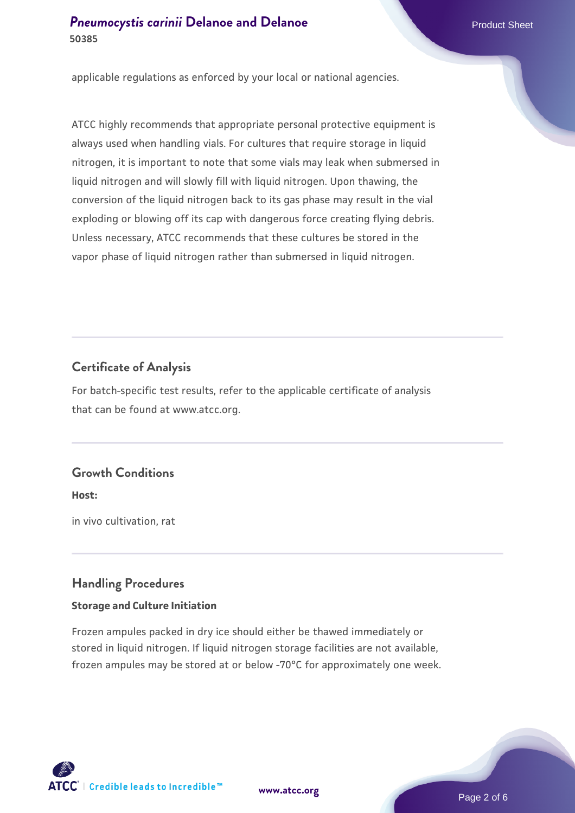applicable regulations as enforced by your local or national agencies.

ATCC highly recommends that appropriate personal protective equipment is always used when handling vials. For cultures that require storage in liquid nitrogen, it is important to note that some vials may leak when submersed in liquid nitrogen and will slowly fill with liquid nitrogen. Upon thawing, the conversion of the liquid nitrogen back to its gas phase may result in the vial exploding or blowing off its cap with dangerous force creating flying debris. Unless necessary, ATCC recommends that these cultures be stored in the vapor phase of liquid nitrogen rather than submersed in liquid nitrogen.

## **Certificate of Analysis**

For batch-specific test results, refer to the applicable certificate of analysis that can be found at www.atcc.org.

### **Growth Conditions**

**Host:**

in vivo cultivation, rat

### **Handling Procedures**

#### **Storage and Culture Initiation**

Frozen ampules packed in dry ice should either be thawed immediately or stored in liquid nitrogen. If liquid nitrogen storage facilities are not available, frozen ampules may be stored at or below -70°C for approximately one week.

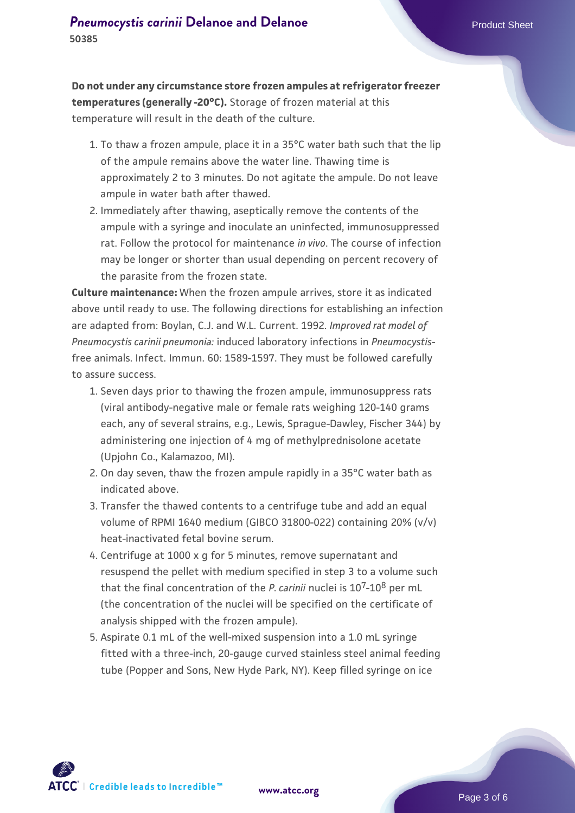**Do not under any circumstance store frozen ampules at refrigerator freezer temperatures (generally -20°C).** Storage of frozen material at this temperature will result in the death of the culture.

- 1. To thaw a frozen ampule, place it in a 35°C water bath such that the lip  $\;$ of the ampule remains above the water line. Thawing time is approximately 2 to 3 minutes. Do not agitate the ampule. Do not leave ampule in water bath after thawed.
- 2. Immediately after thawing, aseptically remove the contents of the ampule with a syringe and inoculate an uninfected, immunosuppressed rat. Follow the protocol for maintenance *in vivo*. The course of infection may be longer or shorter than usual depending on percent recovery of the parasite from the frozen state.

**Culture maintenance:** When the frozen ampule arrives, store it as indicated above until ready to use. The following directions for establishing an infection are adapted from: Boylan, C.J. and W.L. Current. 1992. *Improved rat model of Pneumocystis carinii pneumonia:* induced laboratory infections in *Pneumocystis*free animals. Infect. Immun. 60: 1589-1597. They must be followed carefully to assure success.

- 1. Seven days prior to thawing the frozen ampule, immunosuppress rats (viral antibody-negative male or female rats weighing 120-140 grams each, any of several strains, e.g., Lewis, Sprague-Dawley, Fischer 344) by administering one injection of 4 mg of methylprednisolone acetate (Upjohn Co., Kalamazoo, MI).
- 2. On day seven, thaw the frozen ampule rapidly in a 35°C water bath as indicated above.
- 3. Transfer the thawed contents to a centrifuge tube and add an equal volume of RPMI 1640 medium (GIBCO 31800-022) containing 20% (v/v) heat-inactivated fetal bovine serum.
- 4. Centrifuge at 1000 x g for 5 minutes, remove supernatant and resuspend the pellet with medium specified in step 3 to a volume such that the final concentration of the *P. carinii* nuclei is 107-108 per mL (the concentration of the nuclei will be specified on the certificate of analysis shipped with the frozen ampule).
- 5. Aspirate 0.1 mL of the well-mixed suspension into a 1.0 mL syringe fitted with a three-inch, 20-gauge curved stainless steel animal feeding tube (Popper and Sons, New Hyde Park, NY). Keep filled syringe on ice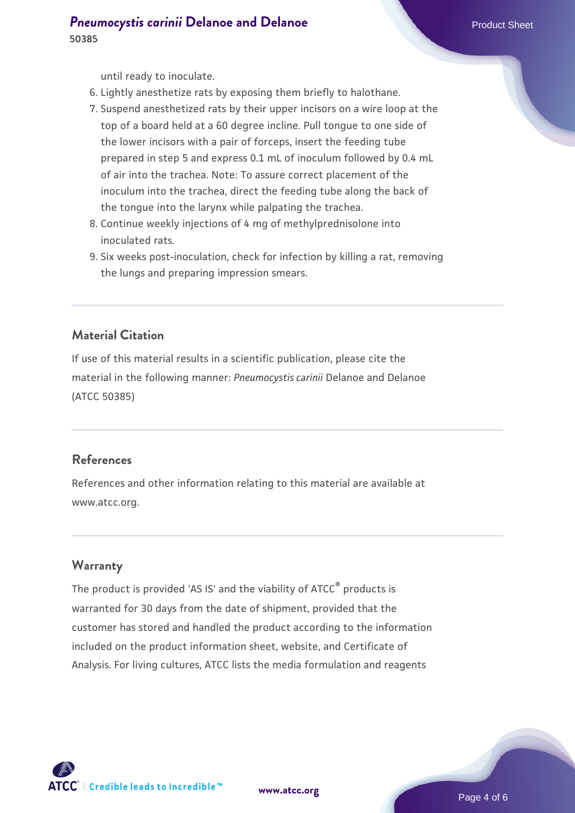until ready to inoculate.

- 6. Lightly anesthetize rats by exposing them briefly to halothane.
- 7. Suspend anesthetized rats by their upper incisors on a wire loop at the top of a board held at a 60 degree incline. Pull tongue to one side of the lower incisors with a pair of forceps, insert the feeding tube prepared in step 5 and express 0.1 mL of inoculum followed by 0.4 mL of air into the trachea. Note: To assure correct placement of the inoculum into the trachea, direct the feeding tube along the back of the tongue into the larynx while palpating the trachea.
- 8. Continue weekly injections of 4 mg of methylprednisolone into inoculated rats.
- Six weeks post-inoculation, check for infection by killing a rat, removing 9. the lungs and preparing impression smears.

### **Material Citation**

If use of this material results in a scientific publication, please cite the material in the following manner: *Pneumocystis carinii* Delanoe and Delanoe (ATCC 50385)

#### **References**

References and other information relating to this material are available at www.atcc.org.

#### **Warranty**

The product is provided 'AS IS' and the viability of ATCC® products is warranted for 30 days from the date of shipment, provided that the customer has stored and handled the product according to the information included on the product information sheet, website, and Certificate of Analysis. For living cultures, ATCC lists the media formulation and reagents

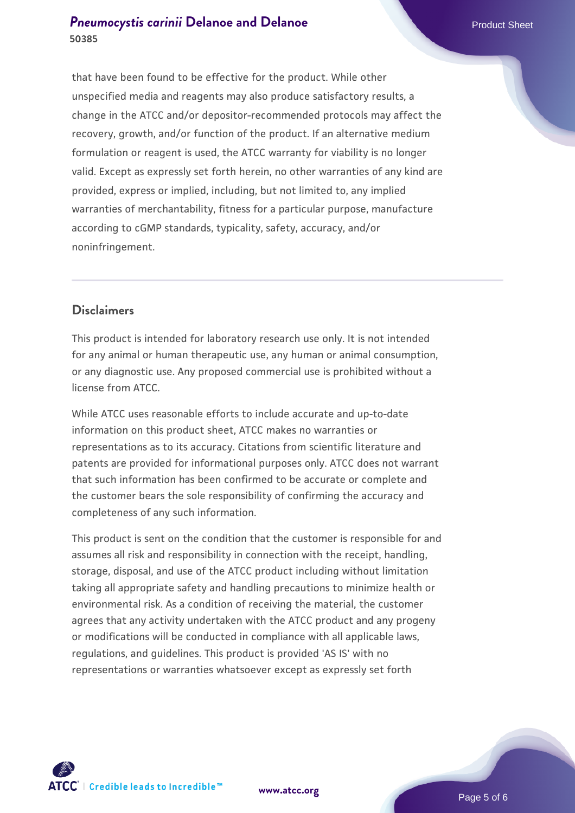#### **[Pneumocystis carinii](https://www.atcc.org/products/50385)** [Delanoe and Delanoe](https://www.atcc.org/products/50385) **Product Sheet** Product Sheet **50385**

that have been found to be effective for the product. While other unspecified media and reagents may also produce satisfactory results, a change in the ATCC and/or depositor-recommended protocols may affect the recovery, growth, and/or function of the product. If an alternative medium formulation or reagent is used, the ATCC warranty for viability is no longer valid. Except as expressly set forth herein, no other warranties of any kind are provided, express or implied, including, but not limited to, any implied warranties of merchantability, fitness for a particular purpose, manufacture according to cGMP standards, typicality, safety, accuracy, and/or noninfringement.

### **Disclaimers**

This product is intended for laboratory research use only. It is not intended for any animal or human therapeutic use, any human or animal consumption, or any diagnostic use. Any proposed commercial use is prohibited without a license from ATCC.

While ATCC uses reasonable efforts to include accurate and up-to-date information on this product sheet, ATCC makes no warranties or representations as to its accuracy. Citations from scientific literature and patents are provided for informational purposes only. ATCC does not warrant that such information has been confirmed to be accurate or complete and the customer bears the sole responsibility of confirming the accuracy and completeness of any such information.

This product is sent on the condition that the customer is responsible for and assumes all risk and responsibility in connection with the receipt, handling, storage, disposal, and use of the ATCC product including without limitation taking all appropriate safety and handling precautions to minimize health or environmental risk. As a condition of receiving the material, the customer agrees that any activity undertaken with the ATCC product and any progeny or modifications will be conducted in compliance with all applicable laws, regulations, and guidelines. This product is provided 'AS IS' with no representations or warranties whatsoever except as expressly set forth



**[www.atcc.org](http://www.atcc.org)**

Page 5 of 6